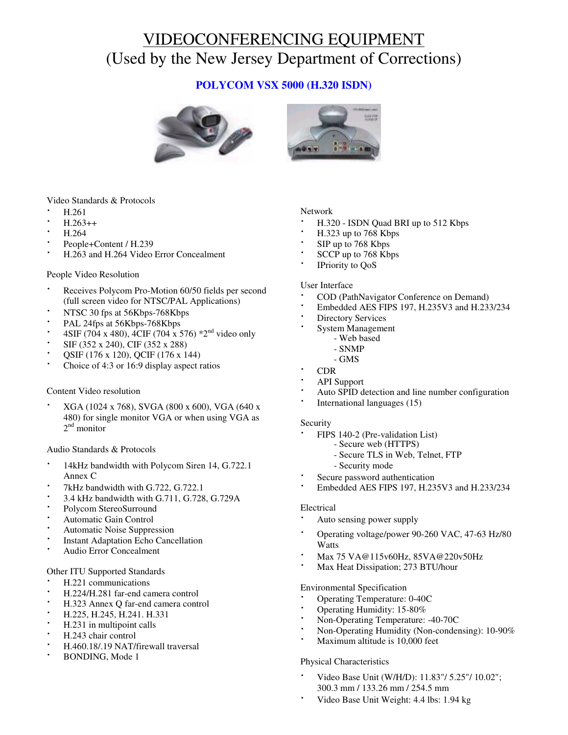# VIDEOCONFERENCING EQUIPMENT (Used by the New Jersey Department of Corrections)

# **POLYCOM VSX 5000 (H.320 ISDN)**



Video Standards & Protocols

- · H.261
- $H.263++$
- · H.264
- People+Content / H.239
- · H.263 and H.264 Video Error Concealment

### People Video Resolution

- Receives Polycom Pro-Motion 60/50 fields per second (full screen video for NTSC/PAL Applications)
- NTSC 30 fps at 56Kbps-768Kbps
- PAL 24fps at 56Kbps-768Kbps
- 4SIF (704 x 480), 4CIF (704 x 576) \*2<sup>nd</sup> video only
- SIF (352 x 240), CIF (352 x 288)
- · QSIF (176 x 120), QCIF (176 x 144)
- Choice of 4:3 or 16:9 display aspect ratios

# Content Video resolution

· XGA (1024 x 768), SVGA (800 x 600), VGA (640 x 480) for single monitor VGA or when using VGA as 2<sup>nd</sup> monitor

### Audio Standards & Protocols

- 14kHz bandwidth with Polycom Siren 14, G.722.1 Annex C
- 7kHz bandwidth with G.722, G.722.1
- 3.4 kHz bandwidth with G.711, G.728, G.729A
- Polycom StereoSurround
- Automatic Gain Control
- Automatic Noise Suppression
- **Instant Adaptation Echo Cancellation**
- Audio Error Concealment

### Other ITU Supported Standards

- · H.221 communications
- · H.224/H.281 far-end camera control
- · H.323 Annex Q far-end camera control
- · H.225, H.245, H.241. H.331
- · H.231 in multipoint calls
- · H.243 chair control
- · H.460.18/.19 NAT/firewall traversal
- BONDING, Mode 1

# Network

- · H.320 ISDN Quad BRI up to 512 Kbps
- · H.323 up to 768 Kbps
- SIP up to 768 Kbps
- SCCP up to 768 Kbps
- IPriority to QoS

### User Interface

- · COD (PathNavigator Conference on Demand)
- · Embedded AES FIPS 197, H.235V3 and H.233/234
- **Directory Services**
- System Management
	- Web based
	- SNMP
	- GMS
- · CDR
- · API Support
- Auto SPID detection and line number configuration
- International languages (15)

### Security

- FIPS 140-2 (Pre-validation List)
	- Secure web (HTTPS)
	- Secure TLS in Web, Telnet, FTP
	- Security mode
- Secure password authentication
- · Embedded AES FIPS 197, H.235V3 and H.233/234

### Electrical

- Auto sensing power supply
- · Operating voltage/power 90-260 VAC, 47-63 Hz/80 **Watts**
- · Max 75 VA@115v60Hz, 85VA@220v50Hz
- Max Heat Dissipation; 273 BTU/hour

# Environmental Specification

- · Operating Temperature: 0-40C
- Operating Humidity: 15-80%
- · Non-Operating Temperature: -40-70C
- Non-Operating Humidity (Non-condensing): 10-90%
- Maximum altitude is 10,000 feet

### Physical Characteristics

- · Video Base Unit (W/H/D): 11.83"/ 5.25"/ 10.02"; 300.3 mm / 133.26 mm / 254.5 mm
- Video Base Unit Weight: 4.4 lbs: 1.94 kg

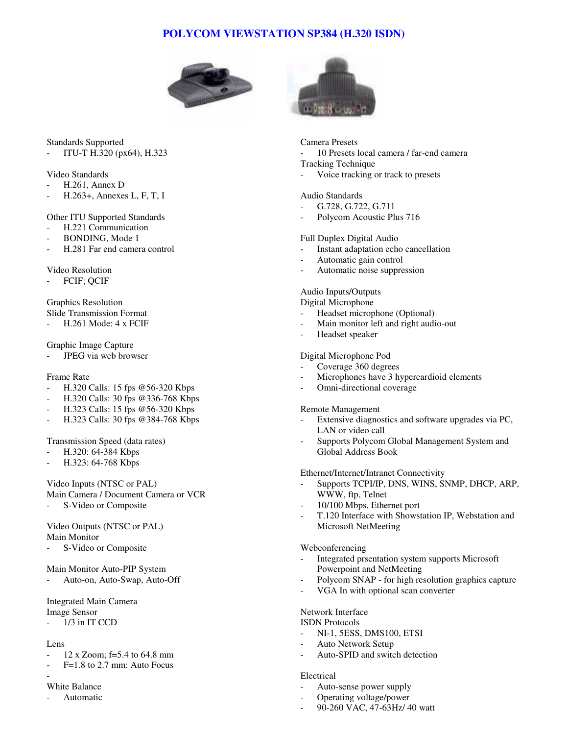# **POLYCOM VIEWSTATION SP384 (H.320 ISDN)**



# Standards Supported

- ITU-T H.320 (px64), H.323

### Video Standards

- H.261, Annex D
- H.263+, Annexes L, F, T, I

Other ITU Supported Standards

- H.221 Communication
- BONDING, Mode 1
- H.281 Far end camera control

### Video Resolution

FCIF; QCIF

# Graphics Resolution Slide Transmission Format

- H.261 Mode: 4 x FCIF

# Graphic Image Capture

JPEG via web browser

# Frame Rate

- H.320 Calls: 15 fps @56-320 Kbps
- H.320 Calls: 30 fps @336-768 Kbps
- H.323 Calls: 15 fps @56-320 Kbps
- H.323 Calls: 30 fps @384-768 Kbps

# Transmission Speed (data rates)

- H.320: 64-384 Kbps
- H.323: 64-768 Kbps

Video Inputs (NTSC or PAL) Main Camera / Document Camera or VCR S-Video or Composite

# Video Outputs (NTSC or PAL)

Main Monitor

S-Video or Composite

# Main Monitor Auto-PIP System

Auto-on, Auto-Swap, Auto-Off

Integrated Main Camera

- Image Sensor
- 1/3 in IT CCD

# Lens

- $12 \times Z$ oom; f=5.4 to 64.8 mm
- $F=1.8$  to 2.7 mm: Auto Focus -

# White Balance

**Automatic** 



### Camera Presets

- 10 Presets local camera / far-end camera

### Tracking Technique

Voice tracking or track to presets

# Audio Standards

- G.728, G.722, G.711
- Polycom Acoustic Plus 716

# Full Duplex Digital Audio

- Instant adaptation echo cancellation
- Automatic gain control
- Automatic noise suppression

# Audio Inputs/Outputs

Digital Microphone

- Headset microphone (Optional)
- Main monitor left and right audio-out
- Headset speaker

# Digital Microphone Pod

- Coverage 360 degrees
- Microphones have 3 hypercardioid elements
- Omni-directional coverage

# Remote Management

- Extensive diagnostics and software upgrades via PC, LAN or video call
- Supports Polycom Global Management System and Global Address Book

# Ethernet/Internet/Intranet Connectivity

- Supports TCPI/IP, DNS, WINS, SNMP, DHCP, ARP, WWW, ftp, Telnet
- 10/100 Mbps, Ethernet port
- T.120 Interface with Showstation IP, Webstation and Microsoft NetMeeting

# Webconferencing

- Integrated prsentation system supports Microsoft Powerpoint and NetMeeting
- Polycom SNAP for high resolution graphics capture
- VGA In with optional scan converter

# Network Interface

### ISDN Protocols

- NI-1, 5ESS, DMS100, ETSI
- Auto Network Setup
- Auto-SPID and switch detection

# Electrical

- Auto-sense power supply
- Operating voltage/power
- 90-260 VAC, 47-63Hz/ 40 watt